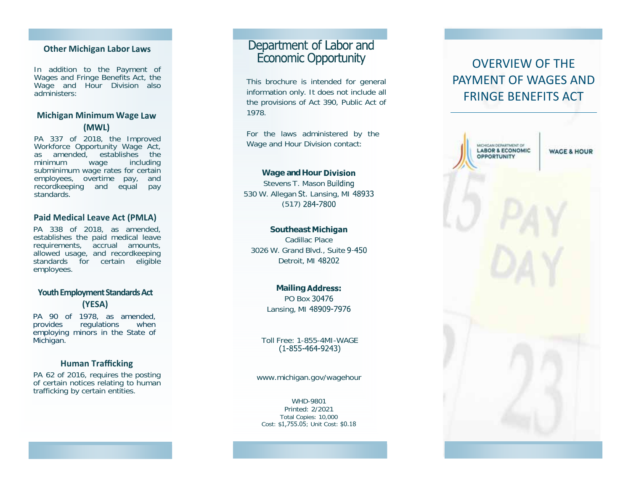# **Other Michigan Labor Laws**

In addition to the Payment of Wages and Fringe Benefits Act, the Wage and Hour Division also administers:

# **Michigan Minimum Wage**  (MWL)

PA 337 of 2018, the Improved Workforce Opportunity Wage Act, as amended, establishes the minimum wage including subminimum wage rates for certain employees, overtime pay, and recordkeeping and equal pay standards.

## **Paid Medical Leave Act (PMLA)**

PA 338 of 2018, as amended, establishes the paid medical leave requirements, accrual amounts, allowed usage, and recordkeeping standards for certain eligible employees.

# **Youth Employment Standards Act (YESA)**

PA 90 of 1978, as amended, provides regulations when employing minors in the State of Michigan.

## **Human Trafficking**

PA 62 of 2016, requires the posting of certain notices relating to human trafficking by certain entities.

# Department of Labor and **Economic Opportunity**

This brochure is intended for general information only. It does not include all the provisions of Act 390, Public Act of 1978.

For the laws administered by the Wage and Hour Division contact:

### **Wage and Hour**

Stevens T. Mason Building 530 W. Allegan St. Lansing, MI 48933 (517) 284-7800

#### **Southeast**

Cadillac Place 3026 W. Grand Blvd., Suite Detroit, MI 48202

#### **Mailing Address:**

PO Box 30476 Lansing, MI

Toll Free: 1-855-4MI-WAGE

#### www.michigan.gov/wagehour

WHD-9801 Printed: 2/2021 Total Copies: 10,000 Cost: \$1,755.05; Unit Cost: \$0.1<sup>8</sup>

# OVERVIEW OF THE PAYMENT OF WAGES ANDFRINGE BENEFITS ACT